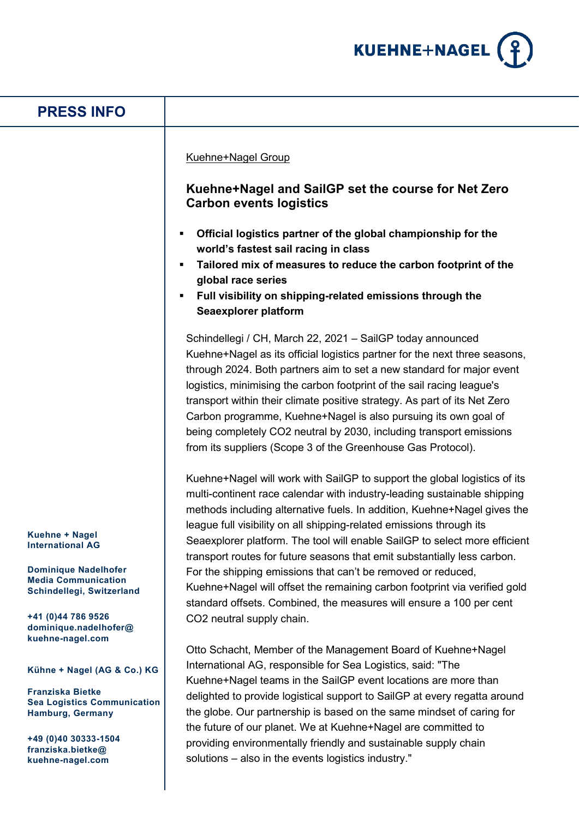

| <b>PRESS INFO</b>                                                                                                                     |                                                                                                                                                                                                                                                                                                                                                                                                                                                                                                                                                                                                                                                                                                                                                                                                                                                                                                                                                                                                                                                                                                                                                                                                                              |
|---------------------------------------------------------------------------------------------------------------------------------------|------------------------------------------------------------------------------------------------------------------------------------------------------------------------------------------------------------------------------------------------------------------------------------------------------------------------------------------------------------------------------------------------------------------------------------------------------------------------------------------------------------------------------------------------------------------------------------------------------------------------------------------------------------------------------------------------------------------------------------------------------------------------------------------------------------------------------------------------------------------------------------------------------------------------------------------------------------------------------------------------------------------------------------------------------------------------------------------------------------------------------------------------------------------------------------------------------------------------------|
|                                                                                                                                       | Kuehne+Nagel Group<br>Kuehne+Nagel and SailGP set the course for Net Zero<br><b>Carbon events logistics</b><br>Official logistics partner of the global championship for the<br>world's fastest sail racing in class<br>Tailored mix of measures to reduce the carbon footprint of the<br>global race series<br>Full visibility on shipping-related emissions through the<br>Seaexplorer platform<br>Schindellegi / CH, March 22, 2021 - SailGP today announced<br>Kuehne+Nagel as its official logistics partner for the next three seasons,<br>through 2024. Both partners aim to set a new standard for major event<br>logistics, minimising the carbon footprint of the sail racing league's<br>transport within their climate positive strategy. As part of its Net Zero<br>Carbon programme, Kuehne+Nagel is also pursuing its own goal of<br>being completely CO2 neutral by 2030, including transport emissions<br>from its suppliers (Scope 3 of the Greenhouse Gas Protocol).<br>Kuehne+Nagel will work with SailGP to support the global logistics of its<br>multi-continent race calendar with industry-leading sustainable shipping<br>methods including alternative fuels. In addition, Kuehne+Nagel gives the |
| Kuehne + Nagel<br><b>International AG</b>                                                                                             | league full visibility on all shipping-related emissions through its<br>Seaexplorer platform. The tool will enable SailGP to select more efficient                                                                                                                                                                                                                                                                                                                                                                                                                                                                                                                                                                                                                                                                                                                                                                                                                                                                                                                                                                                                                                                                           |
| <b>Dominique Nadelhofer</b><br><b>Media Communication</b><br>Schindellegi, Switzerland<br>+41 (0)44 786 9526<br>dominique.nadelhofer@ | transport routes for future seasons that emit substantially less carbon.<br>For the shipping emissions that can't be removed or reduced,<br>Kuehne+Nagel will offset the remaining carbon footprint via verified gold<br>standard offsets. Combined, the measures will ensure a 100 per cent<br>CO2 neutral supply chain.                                                                                                                                                                                                                                                                                                                                                                                                                                                                                                                                                                                                                                                                                                                                                                                                                                                                                                    |
| kuehne-nagel.com<br>Kühne + Nagel (AG & Co.) KG                                                                                       | Otto Schacht, Member of the Management Board of Kuehne+Nagel<br>International AG, responsible for Sea Logistics, said: "The                                                                                                                                                                                                                                                                                                                                                                                                                                                                                                                                                                                                                                                                                                                                                                                                                                                                                                                                                                                                                                                                                                  |
| <b>Franziska Bietke</b><br><b>Sea Logistics Communication</b><br>Hamburg, Germany                                                     | Kuehne+Nagel teams in the SailGP event locations are more than<br>delighted to provide logistical support to SailGP at every regatta around<br>the globe. Our partnership is based on the same mindset of caring for<br>the future of our planet. We at Kuehne+Nagel are committed to                                                                                                                                                                                                                                                                                                                                                                                                                                                                                                                                                                                                                                                                                                                                                                                                                                                                                                                                        |
| +49 (0)40 30333-1504<br>franziska.bietke@<br>kuehne-nagel.com                                                                         | providing environmentally friendly and sustainable supply chain<br>solutions – also in the events logistics industry."                                                                                                                                                                                                                                                                                                                                                                                                                                                                                                                                                                                                                                                                                                                                                                                                                                                                                                                                                                                                                                                                                                       |